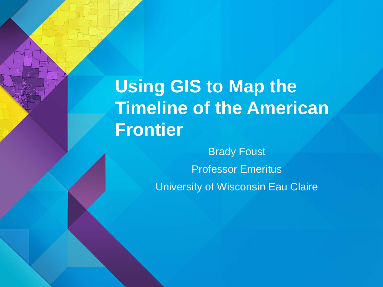**Using GIS to Map the Timeline of the American Frontier**

> Brady Foust Professor Emeritus University of Wisconsin Eau Claire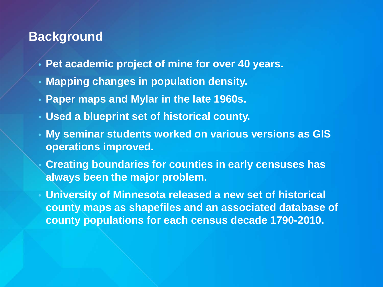#### **Background**

- **Pet academic project of mine for over 40 years.**
- **Mapping changes in population density.**
- **Paper maps and Mylar in the late 1960s.**
- **Used a blueprint set of historical county.**
- **My seminar students worked on various versions as GIS operations improved.**
- **Creating boundaries for counties in early censuses has always been the major problem.**
- **University of Minnesota released a new set of historical county maps as shapefiles and an associated database of county populations for each census decade 1790-2010.**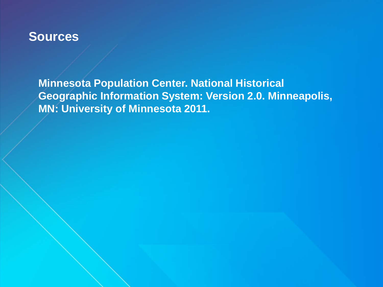#### **Sources**

**Minnesota Population Center. National Historical Geographic Information System: Version 2.0. Minneapolis, MN: University of Minnesota 2011.**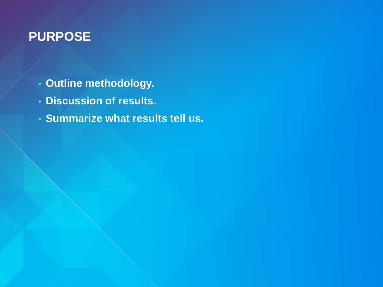### **PURPOSE**

- **Outline methodology.**
- **Discussion of results.**
- **Summarize what results tell us.**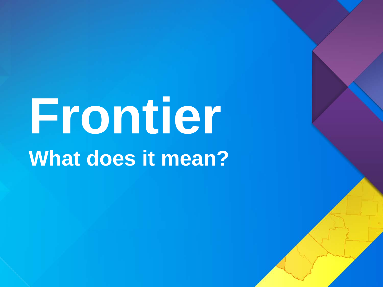# **Frontier What does it mean?**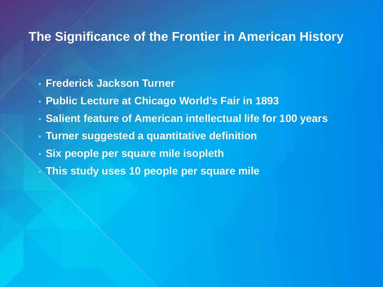#### **The Significance of the Frontier in American History**

- **Frederick Jackson Turner**
- **Public Lecture at Chicago World's Fair in 1893**
- **Salient feature of American intellectual life for 100 years**
- **Turner suggested a quantitative definition**
- **Six people per square mile isopleth**
- **This study uses 10 people per square mile**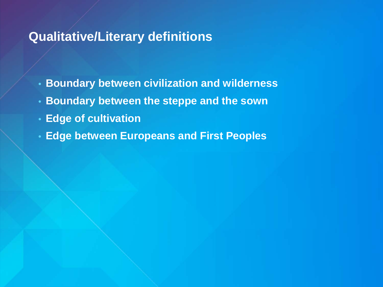#### **Qualitative/Literary definitions**

- **Boundary between civilization and wilderness**
- **Boundary between the steppe and the sown**
- **Edge of cultivation**
- **Edge between Europeans and First Peoples**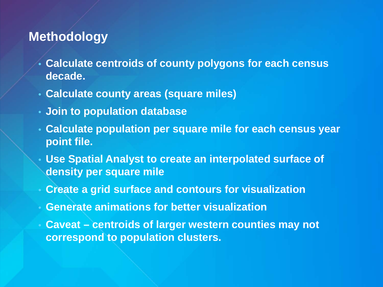#### **Methodology**

- **Calculate centroids of county polygons for each census decade.**
- **Calculate county areas (square miles)**
- **Join to population database**
- **Calculate population per square mile for each census year point file.**
- **Use Spatial Analyst to create an interpolated surface of density per square mile**
- **Create a grid surface and contours for visualization**
- **Generate animations for better visualization**
- **Caveat – centroids of larger western counties may not correspond to population clusters.**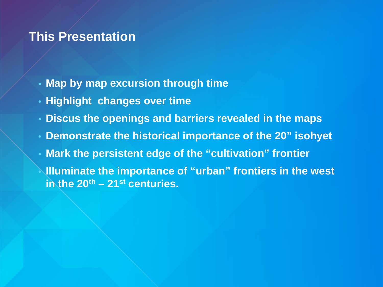#### **This Presentation**

- **Map by map excursion through time**
- **Highlight changes over time**
- **Discus the openings and barriers revealed in the maps**
- **Demonstrate the historical importance of the 20" isohyet**
- **Mark the persistent edge of the "cultivation" frontier**
- **Illuminate the importance of "urban" frontiers in the west in the 20th – 21st centuries.**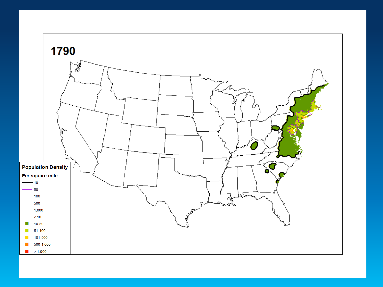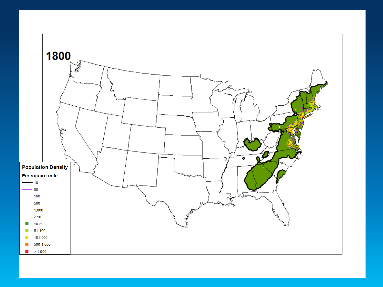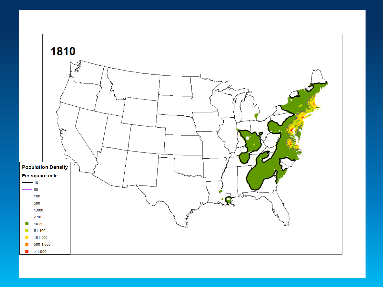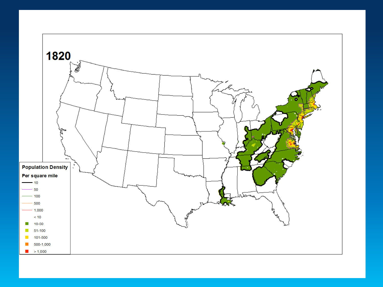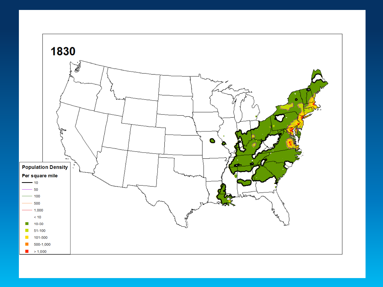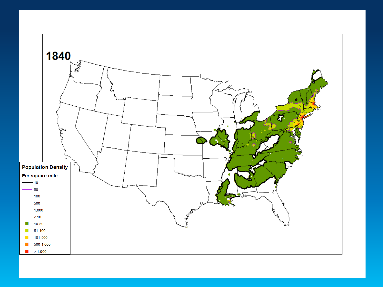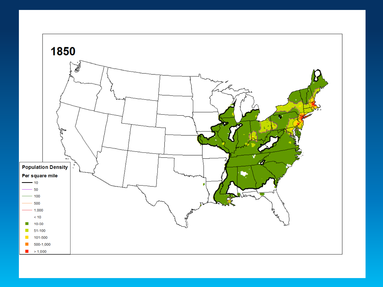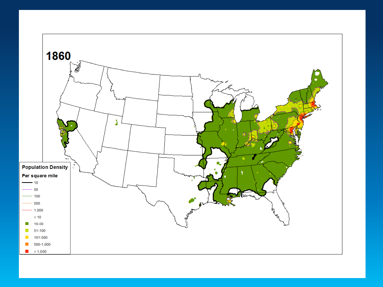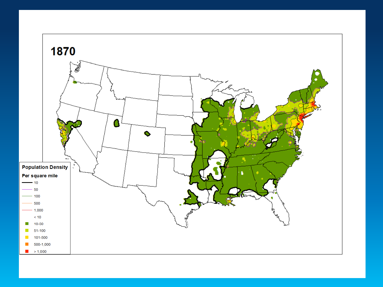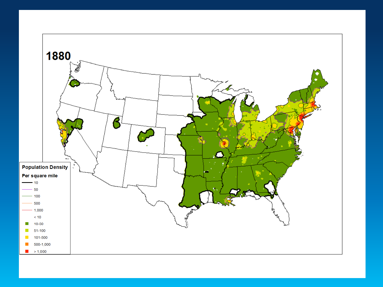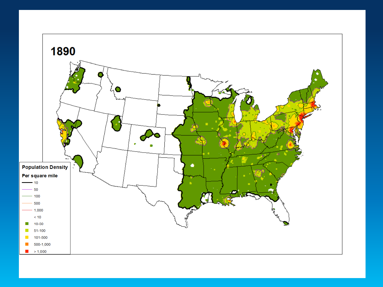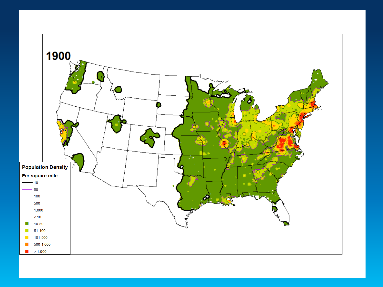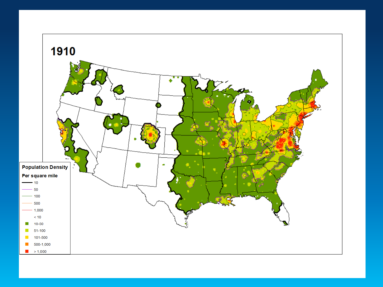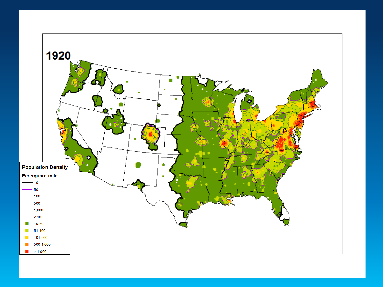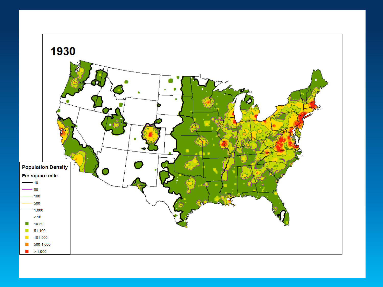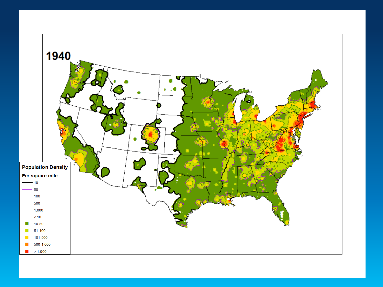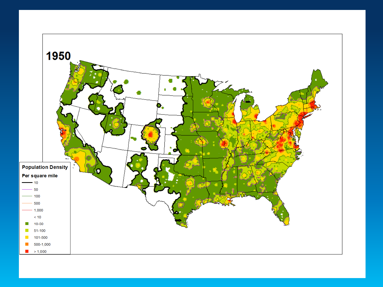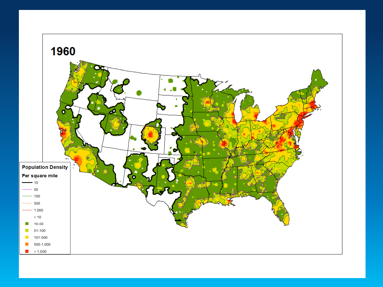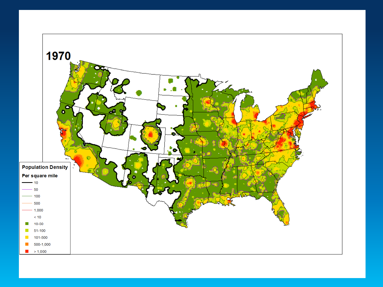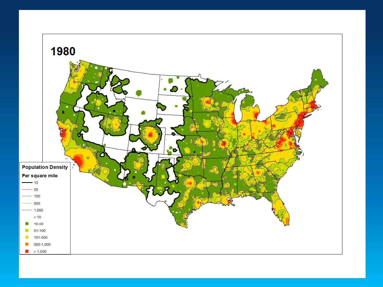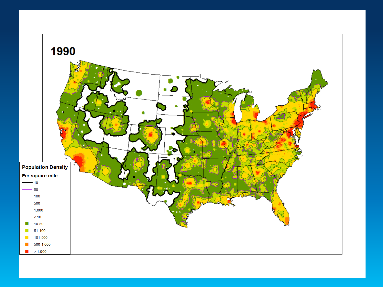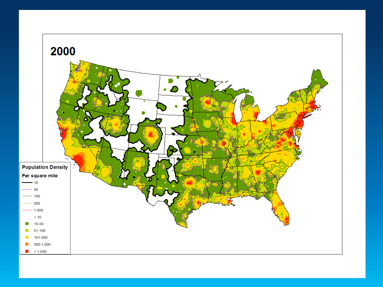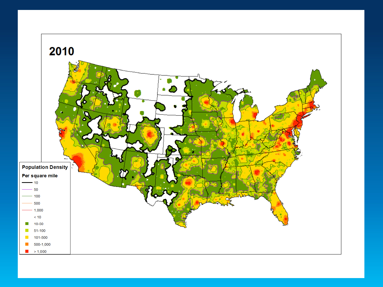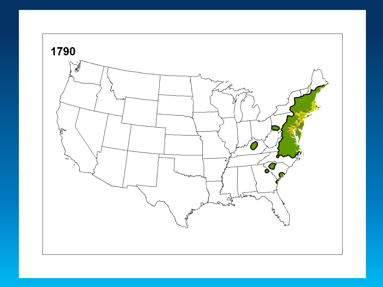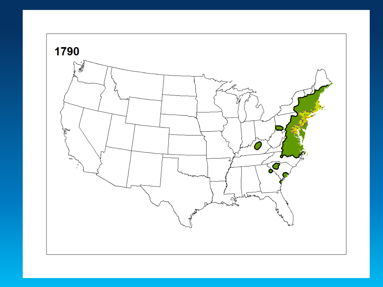